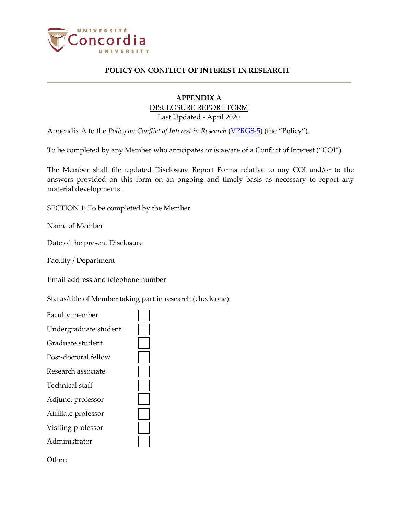

## **APPENDIX A**  DISCLOSURE REPORT FORM Last Updated - April 2020

Appendix A to the *Policy on Conflict of Interest in Research* [\(VPRGS-5\)](http://www.concordia.ca/content/dam/common/docs/policies/official-policies/VPRGS-5.pdf) (the "Policy").

To be completed by any Member who anticipates or is aware of a Conflict of Interest ("COI").

The Member shall file updated Disclosure Report Forms relative to any COI and/or to the answers provided on this form on an ongoing and timely basis as necessary to report any material developments.

SECTION 1: To be completed by the Member

Name of Member

Date of the present Disclosure

Faculty / Department

Email address and telephone number

Status/title of Member taking part in research (check one):

| Faculty member        |  |
|-----------------------|--|
| Undergraduate student |  |
| Graduate student      |  |
| Post-doctoral fellow  |  |
| Research associate    |  |
| Technical staff       |  |
| Adjunct professor     |  |
| Affiliate professor   |  |
| Visiting professor    |  |
| Administrator         |  |
|                       |  |

Other: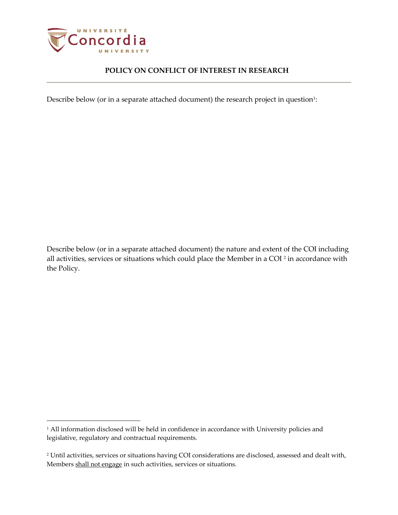

Describe below (or in a separate attached document) the research project in question $^{\scriptscriptstyle 1}$ :

Describe below (or in a separate attached document) the nature and extent of the COI including all activities, services or situations which could place the Member in a COI <sup>2</sup> in accordance with the Policy.

<sup>&</sup>lt;sup>1</sup> All information disclosed will be held in confidence in accordance with University policies and legislative, regulatory and contractual requirements.

<sup>2</sup> Until activities, services or situations having COI considerations are disclosed, assessed and dealt with, Members shall not engage in such activities, services or situations.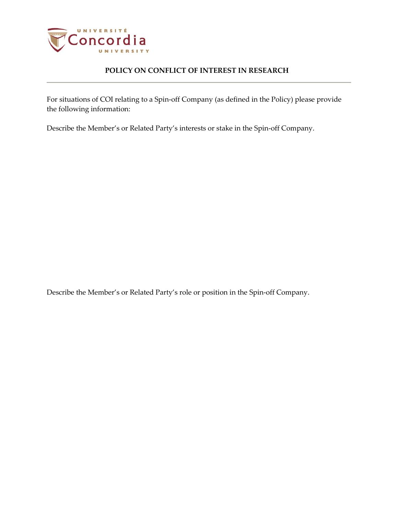

For situations of COI relating to a Spin-off Company (as defined in the Policy) please provide the following information:

Describe the Member's or Related Party's interests or stake in the Spin-off Company.

Describe the Member's or Related Party's role or position in the Spin-off Company.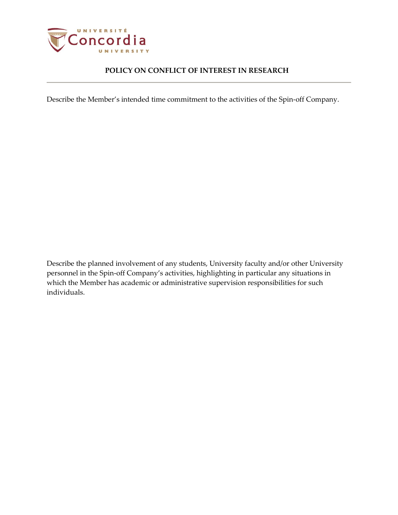

Describe the Member's intended time commitment to the activities of the Spin-off Company.

Describe the planned involvement of any students, University faculty and/or other University personnel in the Spin-off Company's activities, highlighting in particular any situations in which the Member has academic or administrative supervision responsibilities for such individuals.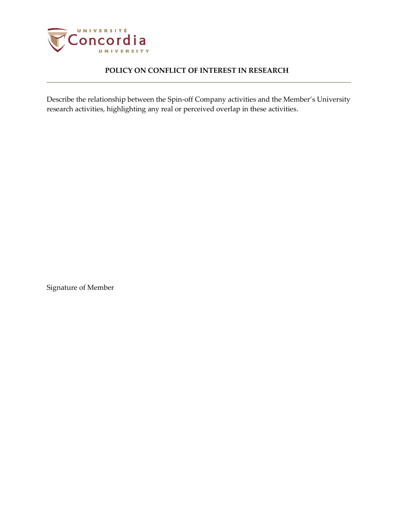

Describe the relationship between the Spin-off Company activities and the Member's University research activities, highlighting any real or perceived overlap in these activities.

Signature of Member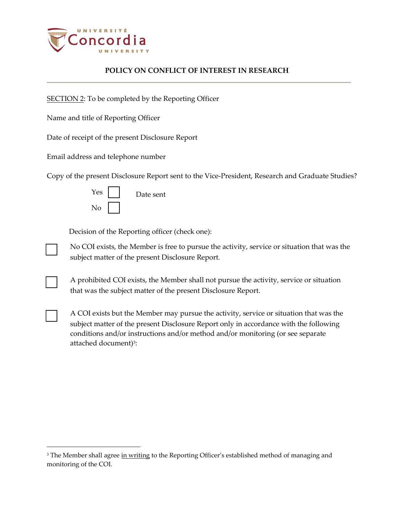

SECTION 2: To be completed by the Reporting Officer

Name and title of Reporting Officer

Date of receipt of the present Disclosure Report

Email address and telephone number

Copy of the present Disclosure Report sent to the Vice-President, Research and Graduate Studies?

| Yes | Date sent |
|-----|-----------|
| No  |           |

Decision of the Reporting officer (check one):

No COI exists, the Member is free to pursue the activity, service or situation that was the subject matter of the present Disclosure Report.

A prohibited COI exists, the Member shall not pursue the activity, service or situation that was the subject matter of the present Disclosure Report.

□ A COI exists but the Member may pursue the activity, service or situation that was the subject matter of the present Disclosure Report only in accordance with the following conditions and/or instructions and/or method and/or monitoring (or see separate attached document)<sup>3</sup>:

<sup>&</sup>lt;sup>3</sup> The Member shall agree in writing to the Reporting Officer's established method of managing and monitoring of the COI.